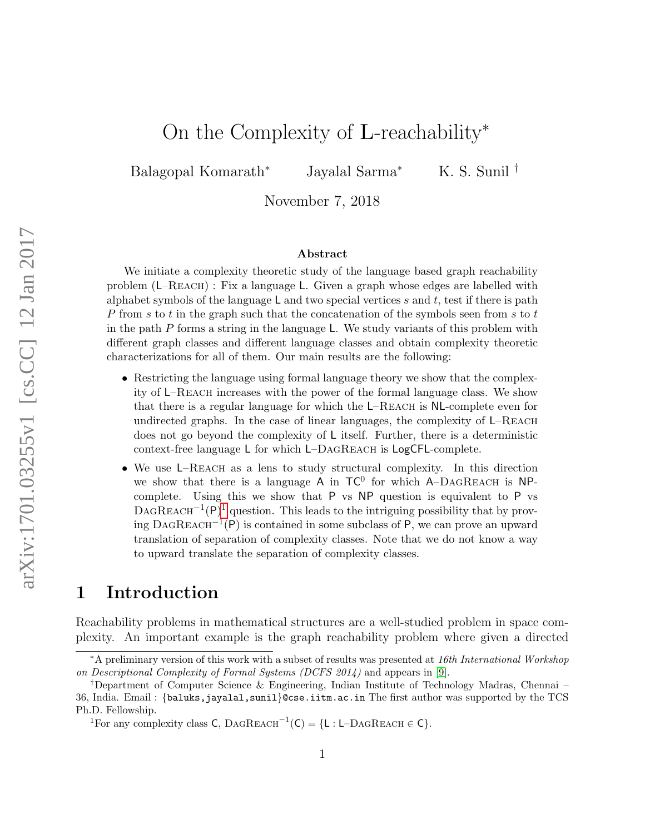# On the Complexity of L-reachability<sup>∗</sup>

Balagopal Komarath<sup>∗</sup> Jayalal Sarma<sup>∗</sup> K. S. Sunil †

November 7, 2018

#### Abstract

We initiate a complexity theoretic study of the language based graph reachability problem  $(L-REACH)$ : Fix a language L. Given a graph whose edges are labelled with alphabet symbols of the language  $\mathsf L$  and two special vertices s and t, test if there is path P from s to t in the graph such that the concatenation of the symbols seen from s to t in the path P forms a string in the language L. We study variants of this problem with different graph classes and different language classes and obtain complexity theoretic characterizations for all of them. Our main results are the following:

- Restricting the language using formal language theory we show that the complexity of L–Reach increases with the power of the formal language class. We show that there is a regular language for which the L–Reach is NL-complete even for undirected graphs. In the case of linear languages, the complexity of L–Reach does not go beyond the complexity of L itself. Further, there is a deterministic context-free language L for which L–DagReach is LogCFL-complete.
- We use L–REACH as a lens to study structural complexity. In this direction we show that there is a language  $A$  in  $TC^0$  for which  $A$ -DAGREACH is NPcomplete. Using this we show that P vs NP question is equivalent to P vs DAGREACH<sup>-[1](#page-0-0)</sup>(P)<sup>1</sup> question. This leads to the intriguing possibility that by prov- $\text{ing DAGREACH}^{-1}(P)$  is contained in some subclass of P, we can prove an upward translation of separation of complexity classes. Note that we do not know a way to upward translate the separation of complexity classes.

### 1 Introduction

Reachability problems in mathematical structures are a well-studied problem in space complexity. An important example is the graph reachability problem where given a directed

<sup>∗</sup>A preliminary version of this work with a subset of results was presented at 16th International Workshop on Descriptional Complexity of Formal Systems (DCFS 2014) and appears in [\[9\]](#page-12-0).

<sup>†</sup>Department of Computer Science & Engineering, Indian Institute of Technology Madras, Chennai – 36, India. Email : {baluks,jayalal,sunil}@cse.iitm.ac.in The first author was supported by the TCS Ph.D. Fellowship.

<span id="page-0-0"></span><sup>&</sup>lt;sup>1</sup>For any complexity class C, DAGREACH<sup>-1</sup>(C) = {L : L-DAGREACH ∈ C}.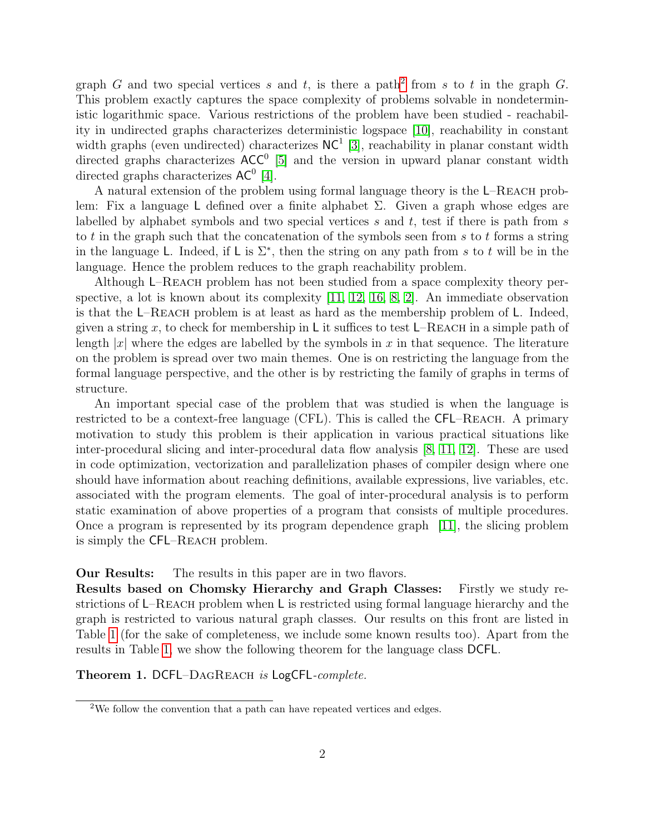graph G and two special vertices s and t, is there a path<sup>[2](#page-1-0)</sup> from s to t in the graph G. This problem exactly captures the space complexity of problems solvable in nondeterministic logarithmic space. Various restrictions of the problem have been studied - reachability in undirected graphs characterizes deterministic logspace [\[10\]](#page-12-1), reachability in constant width graphs (even undirected) characterizes  $NC<sup>1</sup>$  [\[3\]](#page-12-2), reachability in planar constant width directed graphs characterizes  $ACC^{0}$  [\[5\]](#page-12-3) and the version in upward planar constant width directed graphs characterizes  $AC^0$  [\[4\]](#page-12-4).

A natural extension of the problem using formal language theory is the L–Reach problem: Fix a language L defined over a finite alphabet  $\Sigma$ . Given a graph whose edges are labelled by alphabet symbols and two special vertices s and t, test if there is path from s to t in the graph such that the concatenation of the symbols seen from  $s$  to  $t$  forms a string in the language L. Indeed, if L is  $\Sigma^*$ , then the string on any path from s to t will be in the language. Hence the problem reduces to the graph reachability problem.

Although L–Reach problem has not been studied from a space complexity theory perspective, a lot is known about its complexity [\[11,](#page-12-5) [12,](#page-12-6) [16,](#page-13-0) [8,](#page-12-7) [2\]](#page-12-8). An immediate observation is that the  $L$ –REACH problem is at least as hard as the membership problem of  $L$ . Indeed, given a string x, to check for membership in L it suffices to test L–REACH in a simple path of length |x| where the edges are labelled by the symbols in x in that sequence. The literature on the problem is spread over two main themes. One is on restricting the language from the formal language perspective, and the other is by restricting the family of graphs in terms of structure.

An important special case of the problem that was studied is when the language is restricted to be a context-free language (CFL). This is called the CFL–Reach. A primary motivation to study this problem is their application in various practical situations like inter-procedural slicing and inter-procedural data flow analysis [\[8,](#page-12-7) [11,](#page-12-5) [12\]](#page-12-6). These are used in code optimization, vectorization and parallelization phases of compiler design where one should have information about reaching definitions, available expressions, live variables, etc. associated with the program elements. The goal of inter-procedural analysis is to perform static examination of above properties of a program that consists of multiple procedures. Once a program is represented by its program dependence graph [\[11\]](#page-12-5), the slicing problem is simply the CFL–Reach problem.

Our Results: The results in this paper are in two flavors.

Results based on Chomsky Hierarchy and Graph Classes: Firstly we study restrictions of L–Reach problem when L is restricted using formal language hierarchy and the graph is restricted to various natural graph classes. Our results on this front are listed in Table [1](#page-1-1) (for the sake of completeness, we include some known results too). Apart from the results in Table [1,](#page-1-1) we show the following theorem for the language class DCFL.

<span id="page-1-1"></span>Theorem 1. DCFL–DAGREACH is LogCFL-complete.

<span id="page-1-0"></span><sup>2</sup>We follow the convention that a path can have repeated vertices and edges.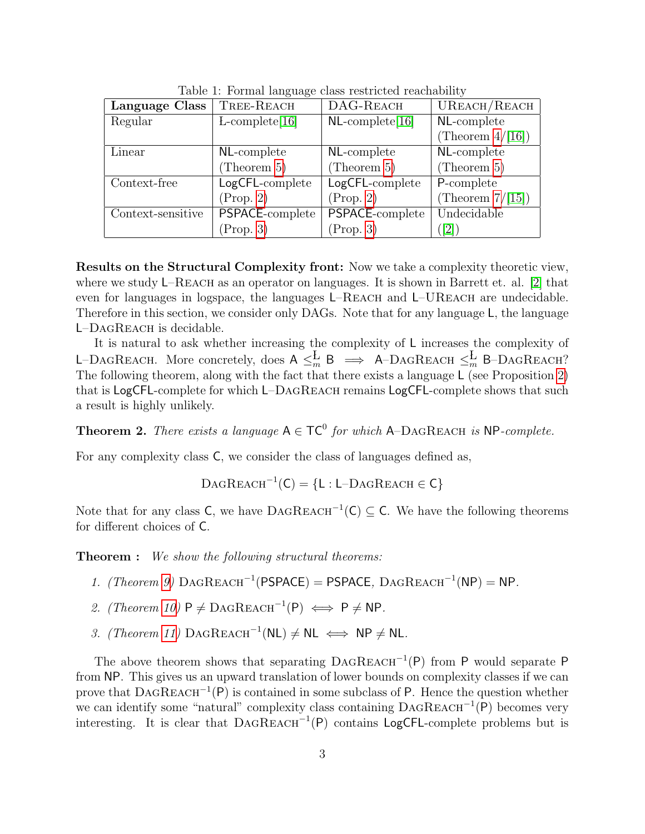| Language Class    | TREE-REACH        | DAG-REACH          | UREACH/REACH        |
|-------------------|-------------------|--------------------|---------------------|
| Regular           | $L$ -complete[16] | $NL$ -complete[16] | NL-complete         |
|                   |                   |                    | (Theorem $4/[16]$ ) |
| Linear            | NL-complete       | NL-complete        | NL-complete         |
|                   | (Theorem $5$ )    | (Theorem $5)$      | (Theorem $5$ )      |
| Context-free      | LogCFL-complete   | LogCFL-complete    | P-complete          |
|                   | (Prop. 2)         | (Prop. 2)          | (Theorem $7/[15]$ ) |
| Context-sensitive | PSPACE-complete   | PSPACE-complete    | Undecidable         |
|                   | (Prop. 3)         | (Prop. 3)          | $\lceil 2 \rceil$   |

Table 1: Formal language class restricted reachability

Results on the Structural Complexity front: Now we take a complexity theoretic view, where we study  $L-REACH$  as an operator on languages. It is shown in Barrett et. al. [\[2\]](#page-12-8) that even for languages in logspace, the languages L–REACH and L–UREACH are undecidable. Therefore in this section, we consider only DAGs. Note that for any language L, the language L–DagReach is decidable.

It is natural to ask whether increasing the complexity of L increases the complexity of L–DAGREACH. More concretely, does  $A \leq_m^L B \implies A$ –DAGREACH  $\leq_m^L B$ –DAGREACH? The following theorem, along with the fact that there exists a language L (see Proposition [2\)](#page-6-1) that is LogCFL-complete for which L–DagReach remains LogCFL-complete shows that such a result is highly unlikely.

<span id="page-2-0"></span>**Theorem 2.** There exists a language  $A \in TC^0$  for which  $A$ -DAGREACH is NP-complete.

For any complexity class C, we consider the class of languages defined as,

 $\text{DagReach}^{-1}(C) = \{L : L-\text{DagReach} \in C\}$ 

Note that for any class C, we have  $\text{DAGREACH}^{-1}(\mathsf{C}) \subseteq \mathsf{C}$ . We have the following theorems for different choices of C.

**Theorem :** We show the following structural theorems:

- 1. (Theorem [9\)](#page-10-0)  $\text{DAGREACH}^{-1}(\text{PSPACE}) = \text{PSPACE}$ ,  $\text{DAGREACH}^{-1}(\text{NP}) = \text{NP}$ .
- 2. (Theorem [10\)](#page-10-1)  $P \neq \text{DAGREACH}^{-1}(P) \iff P \neq NP$ .
- 3. (Theorem [11\)](#page-10-2) DAGREACH<sup>-1</sup>(NL)  $\neq$  NL  $\iff$  NP  $\neq$  NL.

The above theorem shows that separating  $DAGREACH^{-1}(P)$  from P would separate P from NP. This gives us an upward translation of lower bounds on complexity classes if we can prove that  $\text{DAGREACH}^{-1}(P)$  is contained in some subclass of P. Hence the question whether we can identify some "natural" complexity class containing  $DAGREACH^{-1}(P)$  becomes very interesting. It is clear that  $DAGREACH^{-1}(P)$  contains LogCFL-complete problems but is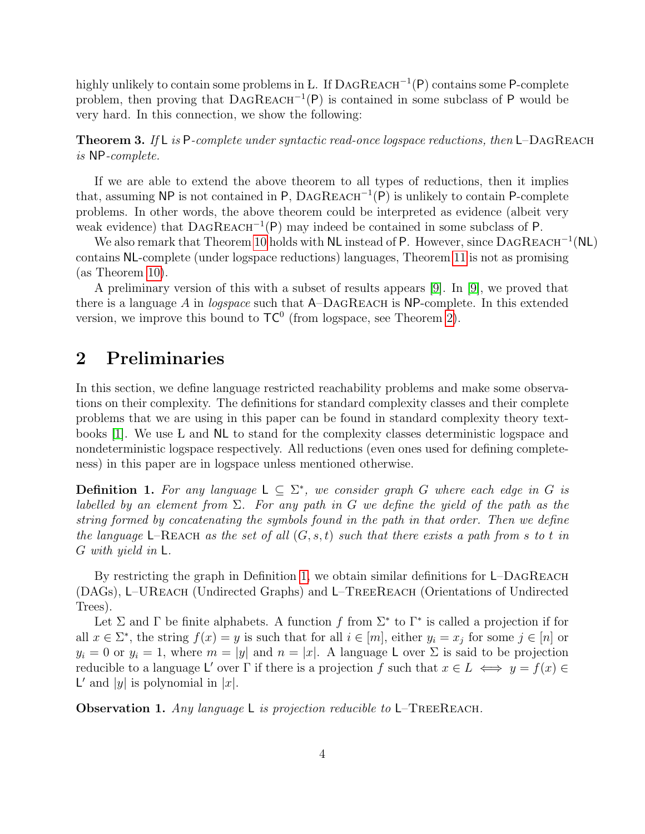highly unlikely to contain some problems in L. If DAGREACH<sup>-1</sup>(P) contains some P-complete problem, then proving that  $DAGREACH^{-1}(P)$  is contained in some subclass of P would be very hard. In this connection, we show the following:

<span id="page-3-2"></span>**Theorem 3.** If L is P-complete under syntactic read-once logspace reductions, then  $L$ -DAGREACH is NP-complete.

If we are able to extend the above theorem to all types of reductions, then it implies that, assuming NP is not contained in P,  $\text{DAGREACH}^{-1}(P)$  is unlikely to contain P-complete problems. In other words, the above theorem could be interpreted as evidence (albeit very weak evidence) that  $\text{DAGREACH}^{-1}(P)$  may indeed be contained in some subclass of P.

We also remark that Theorem [10](#page-10-1) holds with NL instead of P. However, since  $\text{DAGREACH}^{-1}(\text{NL})$ contains NL-complete (under logspace reductions) languages, Theorem [11](#page-10-2) is not as promising (as Theorem [10\)](#page-10-1).

A preliminary version of this with a subset of results appears [\[9\]](#page-12-0). In [\[9\]](#page-12-0), we proved that there is a language A in *logspace* such that  $A$ -DAGREACH is NP-complete. In this extended version, we improve this bound to  $TC^0$  (from logspace, see Theorem [2\)](#page-2-0).

### 2 Preliminaries

In this section, we define language restricted reachability problems and make some observations on their complexity. The definitions for standard complexity classes and their complete problems that we are using in this paper can be found in standard complexity theory textbooks [\[1\]](#page-12-9). We use L and NL to stand for the complexity classes deterministic logspace and nondeterministic logspace respectively. All reductions (even ones used for defining completeness) in this paper are in logspace unless mentioned otherwise.

<span id="page-3-0"></span>**Definition 1.** For any language  $\mathsf{L} \subseteq \Sigma^*$ , we consider graph G where each edge in G is labelled by an element from  $\Sigma$ . For any path in G we define the yield of the path as the string formed by concatenating the symbols found in the path in that order. Then we define the language L–REACH as the set of all  $(G, s, t)$  such that there exists a path from s to t in G with yield in L.

By restricting the graph in Definition [1,](#page-3-0) we obtain similar definitions for L–DAGREACH (DAGs), L–UReach (Undirected Graphs) and L–TreeReach (Orientations of Undirected Trees).

Let  $\Sigma$  and  $\Gamma$  be finite alphabets. A function f from  $\Sigma^*$  to  $\Gamma^*$  is called a projection if for all  $x \in \Sigma^*$ , the string  $f(x) = y$  is such that for all  $i \in [m]$ , either  $y_i = x_j$  for some  $j \in [n]$  or  $y_i = 0$  or  $y_i = 1$ , where  $m = |y|$  and  $n = |x|$ . A language L over  $\Sigma$  is said to be projection reducible to a language L' over  $\Gamma$  if there is a projection f such that  $x \in L \iff y = f(x) \in$  $\mathsf{L}'$  and  $|y|$  is polynomial in  $|x|$ .

<span id="page-3-1"></span>**Observation 1.** Any language L is projection reducible to  $L$ –TREEREACH.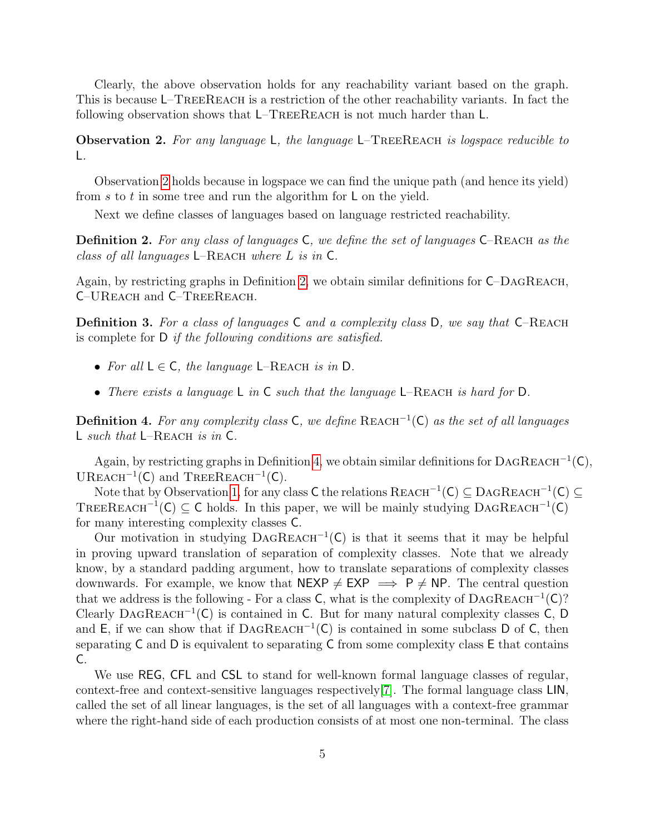Clearly, the above observation holds for any reachability variant based on the graph. This is because L–TREEREACH is a restriction of the other reachability variants. In fact the following observation shows that L–TREEREACH is not much harder than L.

<span id="page-4-0"></span>**Observation 2.** For any language  $\mathsf{L}$ , the language  $\mathsf{L}$ –TREEREACH is logspace reducible to L.

Observation [2](#page-4-0) holds because in logspace we can find the unique path (and hence its yield) from s to t in some tree and run the algorithm for  $\mathsf L$  on the yield.

Next we define classes of languages based on language restricted reachability.

<span id="page-4-1"></span>**Definition 2.** For any class of languages  $C$ , we define the set of languages  $C$ –REACH as the class of all languages  $L$ –REACH where L is in C.

Again, by restricting graphs in Definition [2,](#page-4-1) we obtain similar definitions for  $C$ –DAGREACH, C–UReach and C–TreeReach.

**Definition 3.** For a class of languages  $C$  and a complexity class  $D$ , we say that  $C$ –REACH is complete for D if the following conditions are satisfied.

- For all  $L \in \mathsf{C}$ , the language L–REACH is in D.
- There exists a language L in C such that the language L–REACH is hard for D.

<span id="page-4-2"></span>Definition 4. For any complexity class C, we define  $REACH^{-1}(C)$  as the set of all languages L such that  $L-REACH$  is in C.

Again, by restricting graphs in Definition [4,](#page-4-2) we obtain similar definitions for  $\text{DAGREACH}^{-1}(\mathsf{C}),$ UREACH<sup> $-1$ </sup>(C) and TREEREACH<sup> $-1$ </sup>(C).

Note that by Observation [1,](#page-3-1) for any class C the relations  $REACH^{-1}(C) \subseteq DAGREACH^{-1}(C) \subseteq$ TREEREACH<sup>-1</sup>(C)  $\subseteq$  C holds. In this paper, we will be mainly studying DAGREACH<sup>-1</sup>(C) for many interesting complexity classes C.

Our motivation in studying  $DAGREACH^{-1}(C)$  is that it seems that it may be helpful in proving upward translation of separation of complexity classes. Note that we already know, by a standard padding argument, how to translate separations of complexity classes downwards. For example, we know that  $NEXP \neq EXP \implies P \neq NP$ . The central question that we address is the following - For a class  $C$ , what is the complexity of  $DAGREACH^{-1}(C)$ ? Clearly DAGREACH<sup>-1</sup>(C) is contained in C. But for many natural complexity classes  $\dot{C}$ , D and E, if we can show that if  $DAGREACH^{-1}(C)$  is contained in some subclass D of C, then separating  $C$  and  $D$  is equivalent to separating  $C$  from some complexity class  $E$  that contains C.

We use REG, CFL and CSL to stand for well-known formal language classes of regular, context-free and context-sensitive languages respectively[\[7\]](#page-12-10). The formal language class LIN, called the set of all linear languages, is the set of all languages with a context-free grammar where the right-hand side of each production consists of at most one non-terminal. The class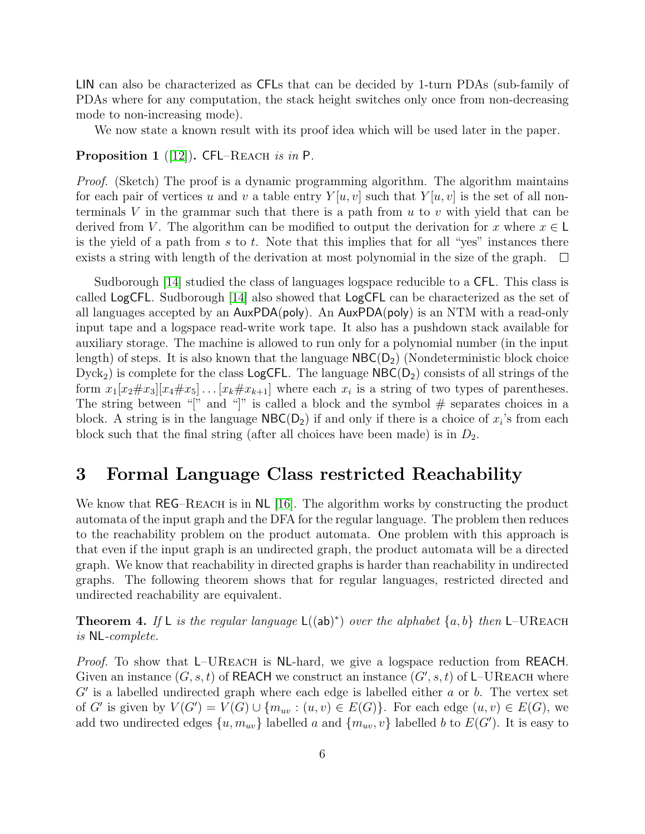LIN can also be characterized as CFLs that can be decided by 1-turn PDAs (sub-family of PDAs where for any computation, the stack height switches only once from non-decreasing mode to non-increasing mode).

We now state a known result with its proof idea which will be used later in the paper.

<span id="page-5-1"></span>Proposition 1 ([\[12\]](#page-12-6)). CFL–REACH is in P.

Proof. (Sketch) The proof is a dynamic programming algorithm. The algorithm maintains for each pair of vertices u and v a table entry  $Y[u, v]$  such that  $Y[u, v]$  is the set of all nonterminals V in the grammar such that there is a path from  $u$  to  $v$  with yield that can be derived from V. The algorithm can be modified to output the derivation for x where  $x \in L$ is the yield of a path from s to t. Note that this implies that for all "yes" instances there exists a string with length of the derivation at most polynomial in the size of the graph.  $\Box$ 

Sudborough [\[14\]](#page-12-11) studied the class of languages logspace reducible to a CFL. This class is called LogCFL. Sudborough [\[14\]](#page-12-11) also showed that LogCFL can be characterized as the set of all languages accepted by an AuxPDA(poly). An AuxPDA(poly) is an NTM with a read-only input tape and a logspace read-write work tape. It also has a pushdown stack available for auxiliary storage. The machine is allowed to run only for a polynomial number (in the input length) of steps. It is also known that the language  $NBC(D_2)$  (Nondeterministic block choice  $Dyck<sub>2</sub>$ ) is complete for the class LogCFL. The language  $NBC(D<sub>2</sub>)$  consists of all strings of the form  $x_1[x_2 \# x_3][x_4 \# x_5] \dots [x_k \# x_{k+1}]$  where each  $x_i$  is a string of two types of parentheses. The string between "[" and "]" is called a block and the symbol  $#$  separates choices in a block. A string is in the language  $NBC(D_2)$  if and only if there is a choice of  $x_i$ 's from each block such that the final string (after all choices have been made) is in  $D_2$ .

### 3 Formal Language Class restricted Reachability

We know that REG–REACH is in NL [\[16\]](#page-13-0). The algorithm works by constructing the product automata of the input graph and the DFA for the regular language. The problem then reduces to the reachability problem on the product automata. One problem with this approach is that even if the input graph is an undirected graph, the product automata will be a directed graph. We know that reachability in directed graphs is harder than reachability in undirected graphs. The following theorem shows that for regular languages, restricted directed and undirected reachability are equivalent.

<span id="page-5-0"></span>**Theorem 4.** If L is the regular language  $L((ab)^*)$  over the alphabet  $\{a, b\}$  then L-UREACH is NL-complete.

Proof. To show that L–UREACH is NL-hard, we give a logspace reduction from REACH. Given an instance  $(G, s, t)$  of REACH we construct an instance  $(G', s, t)$  of L-UREACH where  $G'$  is a labelled undirected graph where each edge is labelled either  $a$  or  $b$ . The vertex set of G' is given by  $V(G') = V(G) \cup \{m_{uv} : (u, v) \in E(G)\}$ . For each edge  $(u, v) \in E(G)$ , we add two undirected edges  $\{u, m_{uv}\}$  labelled a and  $\{m_{uv}, v\}$  labelled b to  $E(G')$ . It is easy to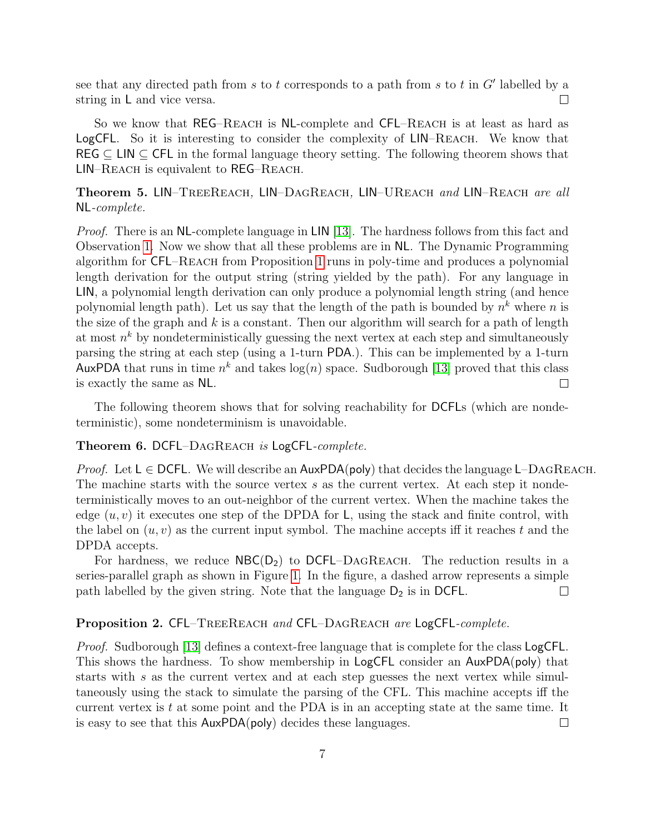see that any directed path from s to t corresponds to a path from s to t in  $G'$  labelled by a string in L and vice versa.  $\Box$ 

So we know that REG–Reach is NL-complete and CFL–Reach is at least as hard as LogCFL. So it is interesting to consider the complexity of LIN–Reach. We know that REG  $\subseteq$  LIN  $\subseteq$  CFL in the formal language theory setting. The following theorem shows that LIN–Reach is equivalent to REG–Reach.

<span id="page-6-0"></span>Theorem 5. LIN–TreeReach, LIN–DagReach, LIN–UReach and LIN–Reach are all NL-complete.

Proof. There is an NL-complete language in LIN [\[13\]](#page-12-12). The hardness follows from this fact and Observation [1.](#page-3-1) Now we show that all these problems are in NL. The Dynamic Programming algorithm for CFL–Reach from Proposition [1](#page-5-1) runs in poly-time and produces a polynomial length derivation for the output string (string yielded by the path). For any language in LIN, a polynomial length derivation can only produce a polynomial length string (and hence polynomial length path). Let us say that the length of the path is bounded by  $n^k$  where n is the size of the graph and  $k$  is a constant. Then our algorithm will search for a path of length at most  $n^k$  by nondeterministically guessing the next vertex at each step and simultaneously parsing the string at each step (using a 1-turn PDA.). This can be implemented by a 1-turn AuxPDA that runs in time  $n^k$  and takes  $log(n)$  space. Sudborough [\[13\]](#page-12-12) proved that this class is exactly the same as NL.  $\Box$ 

The following theorem shows that for solving reachability for DCFLs (which are nondeterministic), some nondeterminism is unavoidable.

#### Theorem 6. DCFL–DAGREACH is LogCFL-complete.

*Proof.* Let  $L \in \text{DCFL}$ . We will describe an AuxPDA(poly) that decides the language L–DAGREACH. The machine starts with the source vertex  $s$  as the current vertex. At each step it nondeterministically moves to an out-neighbor of the current vertex. When the machine takes the edge  $(u, v)$  it executes one step of the DPDA for L, using the stack and finite control, with the label on  $(u, v)$  as the current input symbol. The machine accepts iff it reaches t and the DPDA accepts.

For hardness, we reduce  $NBC(D_2)$  to DCFL–DAGREACH. The reduction results in a series-parallel graph as shown in Figure [1.](#page-7-1) In the figure, a dashed arrow represents a simple path labelled by the given string. Note that the language  $D_2$  is in DCFL.  $\Box$ 

#### <span id="page-6-1"></span>Proposition 2. CFL–TREEREACH and CFL–DAGREACH are LogCFL-complete.

*Proof.* Sudborough [\[13\]](#page-12-12) defines a context-free language that is complete for the class LogCFL. This shows the hardness. To show membership in LogCFL consider an AuxPDA(poly) that starts with s as the current vertex and at each step guesses the next vertex while simultaneously using the stack to simulate the parsing of the CFL. This machine accepts iff the current vertex is  $t$  at some point and the PDA is in an accepting state at the same time. It is easy to see that this AuxPDA(poly) decides these languages.  $\Box$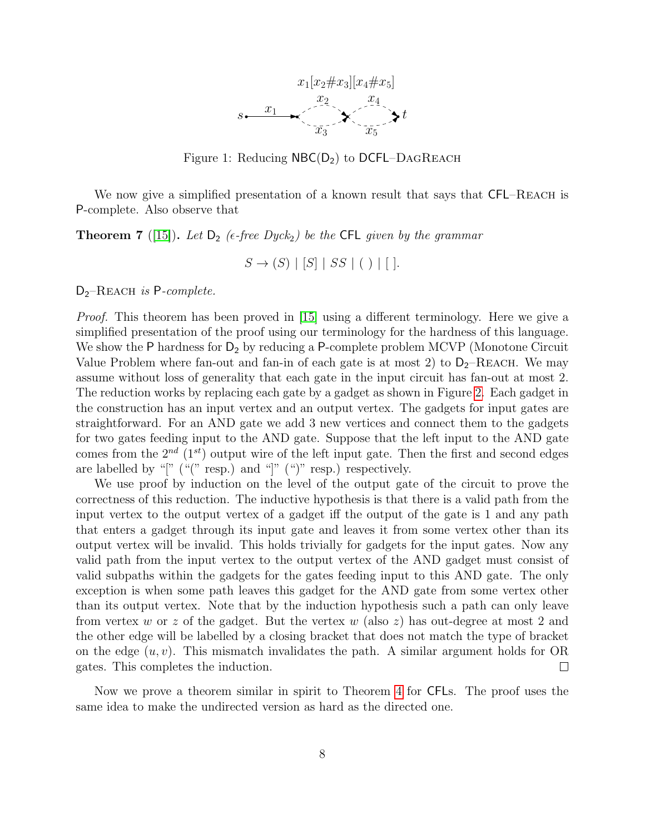

<span id="page-7-1"></span>Figure 1: Reducing  $NBC(D_2)$  to DCFL–DAGREACH

We now give a simplified presentation of a known result that says that CFL–REACH is P-complete. Also observe that

<span id="page-7-0"></span>**Theorem 7** ([\[15\]](#page-13-1)). Let  $D_2$  (e-free Dyck<sub>2</sub>) be the CFL given by the grammar

$$
S \to (S) \mid [S] \mid SS \mid ( ) \mid [ ].
$$

 $D_2$ –REACH is P-complete.

*Proof.* This theorem has been proved in  $|15|$  using a different terminology. Here we give a simplified presentation of the proof using our terminology for the hardness of this language. We show the P hardness for  $D_2$  by reducing a P-complete problem MCVP (Monotone Circuit Value Problem where fan-out and fan-in of each gate is at most 2) to  $D_2$ –REACH. We may assume without loss of generality that each gate in the input circuit has fan-out at most 2. The reduction works by replacing each gate by a gadget as shown in Figure [2.](#page-8-1) Each gadget in the construction has an input vertex and an output vertex. The gadgets for input gates are straightforward. For an AND gate we add 3 new vertices and connect them to the gadgets for two gates feeding input to the AND gate. Suppose that the left input to the AND gate comes from the  $2^{nd}$  (1<sup>st</sup>) output wire of the left input gate. Then the first and second edges are labelled by "[" ("(" resp.) and "[" (")" resp.) respectively.

We use proof by induction on the level of the output gate of the circuit to prove the correctness of this reduction. The inductive hypothesis is that there is a valid path from the input vertex to the output vertex of a gadget iff the output of the gate is 1 and any path that enters a gadget through its input gate and leaves it from some vertex other than its output vertex will be invalid. This holds trivially for gadgets for the input gates. Now any valid path from the input vertex to the output vertex of the AND gadget must consist of valid subpaths within the gadgets for the gates feeding input to this AND gate. The only exception is when some path leaves this gadget for the AND gate from some vertex other than its output vertex. Note that by the induction hypothesis such a path can only leave from vertex w or z of the gadget. But the vertex w (also z) has out-degree at most 2 and the other edge will be labelled by a closing bracket that does not match the type of bracket on the edge  $(u, v)$ . This mismatch invalidates the path. A similar argument holds for OR gates. This completes the induction.  $\Box$ 

Now we prove a theorem similar in spirit to Theorem [4](#page-5-0) for CFLs. The proof uses the same idea to make the undirected version as hard as the directed one.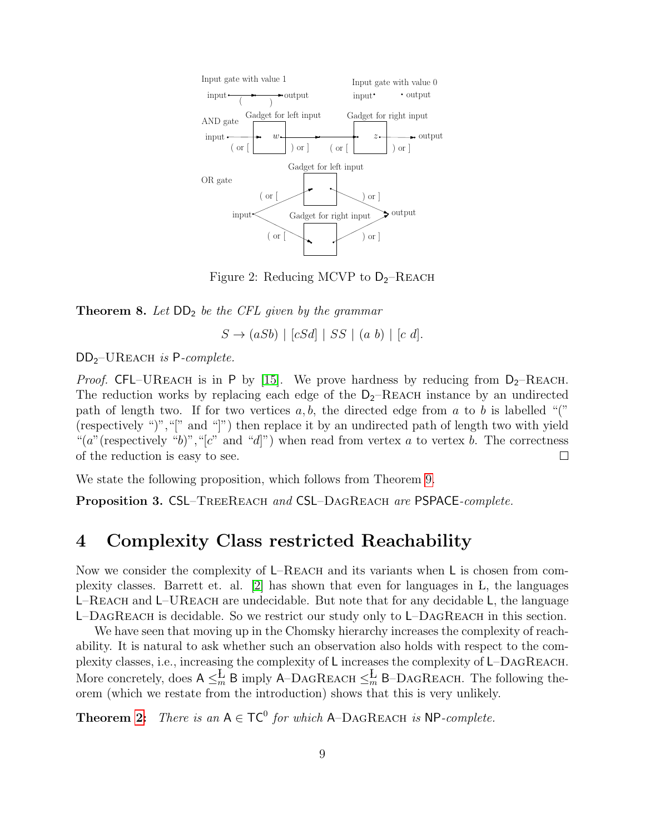

<span id="page-8-1"></span>Figure 2: Reducing MCVP to  $D_2$ -REACH

**Theorem 8.** Let  $DD_2$  be the CFL given by the grammar

 $S \rightarrow (aSb) \mid [cSd] \mid SS \mid (a b) \mid [c d].$ 

 $DD_2$ –UREACH is P-complete.

*Proof.* CFL–UREACH is in P by [\[15\]](#page-13-1). We prove hardness by reducing from  $D_2$ –REACH. The reduction works by replacing each edge of the  $D_2$ –REACH instance by an undirected path of length two. If for two vertices  $a, b$ , the directed edge from a to b is labelled "(" (respectively ")","[" and "]") then replace it by an undirected path of length two with yield "(a" (respectively "b)", "[c" and "d]") when read from vertex a to vertex b. The correctness of the reduction is easy to see.  $\Box$ 

We state the following proposition, which follows from Theorem [9.](#page-10-0)

<span id="page-8-0"></span>Proposition 3. CSL–TREEREACH and CSL–DAGREACH are PSPACE-complete.

### 4 Complexity Class restricted Reachability

Now we consider the complexity of L–REACH and its variants when L is chosen from complexity classes. Barrett et. al. [\[2\]](#page-12-8) has shown that even for languages in L, the languages L–REACH and L–UREACH are undecidable. But note that for any decidable L, the language  $L$ –DagReach is decidable. So we restrict our study only to  $L$ –DagReach in this section.

We have seen that moving up in the Chomsky hierarchy increases the complexity of reachability. It is natural to ask whether such an observation also holds with respect to the complexity classes, i.e., increasing the complexity of L increases the complexity of L–DagReach. More concretely, does  $A \leq_m^L B$  imply A–DAGREACH  $\leq_m^L B$ –DAGREACH. The following theorem (which we restate from the introduction) shows that this is very unlikely.

**Theorem [2:](#page-2-0)** There is an  $A \in TC^0$  for which A–DAGREACH is NP-complete.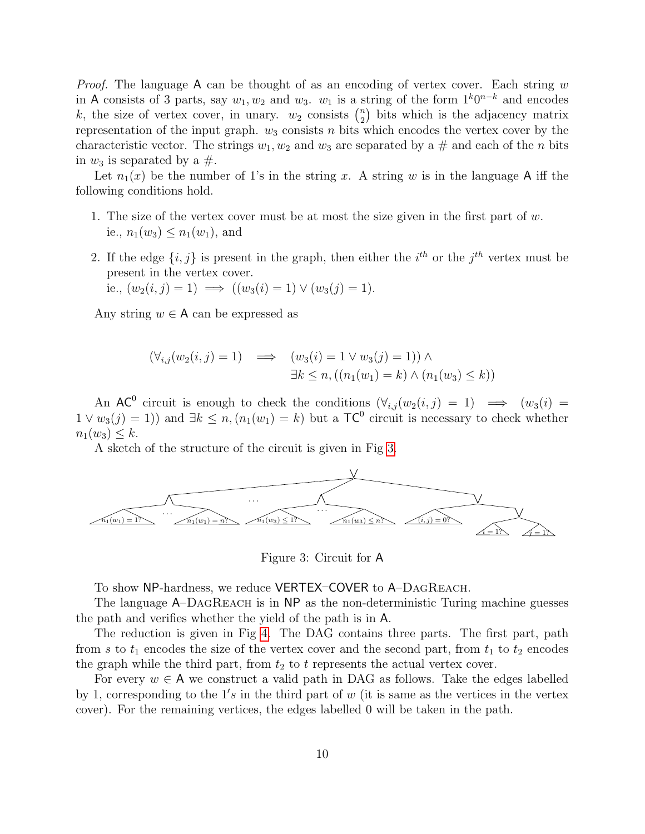*Proof.* The language A can be thought of as an encoding of vertex cover. Each string  $w$ in A consists of 3 parts, say  $w_1, w_2$  and  $w_3$ .  $w_1$  is a string of the form  $1^k0^{n-k}$  and encodes k, the size of vertex cover, in unary.  $w_2$  consists  $\binom{n}{2}$  $n_2$ ) bits which is the adjacency matrix representation of the input graph.  $w_3$  consists n bits which encodes the vertex cover by the characteristic vector. The strings  $w_1, w_2$  and  $w_3$  are separated by a # and each of the n bits in  $w_3$  is separated by a  $\#$ .

Let  $n_1(x)$  be the number of 1's in the string x. A string w is in the language A iff the following conditions hold.

- 1. The size of the vertex cover must be at most the size given in the first part of  $w$ . ie.,  $n_1(w_3) \leq n_1(w_1)$ , and
- 2. If the edge  $\{i, j\}$  is present in the graph, then either the  $i^{th}$  or the  $j^{th}$  vertex must be present in the vertex cover.

i.e., 
$$
(w_2(i,j) = 1) \implies ((w_3(i) = 1) \vee (w_3(j) = 1)).
$$

Any string  $w \in A$  can be expressed as

$$
(\forall_{i,j}(w_2(i,j) = 1) \implies (w_3(i) = 1 \lor w_3(j) = 1)) \land \exists k \le n, ((n_1(w_1) = k) \land (n_1(w_3) \le k))
$$

An AC<sup>0</sup> circuit is enough to check the conditions  $(\forall_{i,j}(w_2(i,j) = 1) \implies (w_3(i) =$  $1 \vee w_3(j) = 1$ ) and  $\exists k \leq n, (n_1(w_1) = k)$  but a  $TC^0$  circuit is necessary to check whether  $n_1(w_3) \leq k$ .

A sketch of the structure of the circuit is given in Fig [3.](#page-9-0)



<span id="page-9-0"></span>Figure 3: Circuit for A

To show NP-hardness, we reduce VERTEX–COVER to A–DagReach.

The language A–DAGREACH is in NP as the non-deterministic Turing machine guesses the path and verifies whether the yield of the path is in A.

The reduction is given in Fig [4.](#page-10-3) The DAG contains three parts. The first part, path from s to  $t_1$  encodes the size of the vertex cover and the second part, from  $t_1$  to  $t_2$  encodes the graph while the third part, from  $t_2$  to t represents the actual vertex cover.

For every  $w \in A$  we construct a valid path in DAG as follows. Take the edges labelled by 1, corresponding to the  $1's$  in the third part of w (it is same as the vertices in the vertex cover). For the remaining vertices, the edges labelled 0 will be taken in the path.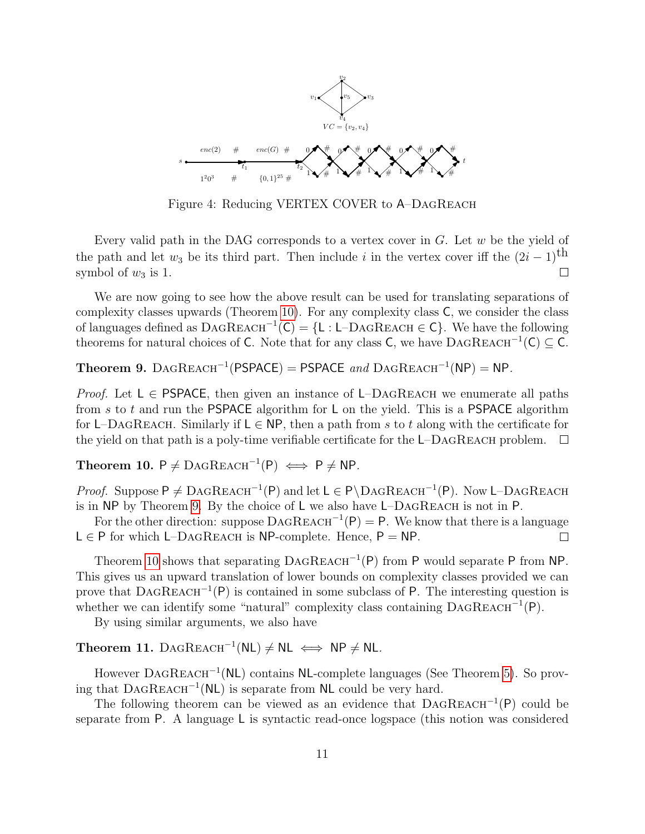

<span id="page-10-3"></span>Figure 4: Reducing VERTEX COVER to A–DagReach

Every valid path in the DAG corresponds to a vertex cover in  $G$ . Let  $w$  be the yield of the path and let  $w_3$  be its third part. Then include i in the vertex cover iff the  $(2i - 1)$ <sup>th</sup> symbol of  $w_3$  is 1. symbol of  $w_3$  is 1.

We are now going to see how the above result can be used for translating separations of complexity classes upwards (Theorem [10\)](#page-10-1). For any complexity class C, we consider the class of languages defined as  $\text{DAGREACH}^{-1}(\text{C}) = \{\text{L : L-DAGREACH} \in \text{C}\}\$ . We have the following theorems for natural choices of C. Note that for any class C, we have  $\text{DAGREACH}^{-1}(\mathsf{C}) \subseteq \mathsf{C}$ .

<span id="page-10-0"></span>Theorem 9. DAGREACH<sup>-1</sup>(PSPACE) = PSPACE and DAGREACH<sup>-1</sup>(NP) = NP.

*Proof.* Let  $L \in PSPACE$ , then given an instance of L–DAGREACH we enumerate all paths from  $s$  to  $t$  and run the PSPACE algorithm for  $L$  on the yield. This is a PSPACE algorithm for L–DAGREACH. Similarly if  $L \in NP$ , then a path from s to t along with the certificate for the yield on that path is a poly-time verifiable certificate for the  $L$ –DAGREACH problem.  $\Box$ 

<span id="page-10-1"></span>Theorem 10.  $P \neq \text{DAGREACH}^{-1}(P) \iff P \neq NP$ .

Proof. Suppose  $P \neq DAGREACH^{-1}(P)$  and let  $L \in P\DAGREACH^{-1}(P)$ . Now L-DAGREACH is in NP by Theorem [9.](#page-10-0) By the choice of L we also have L–DagReach is not in P.

For the other direction: suppose  $\text{DAGREACH}^{-1}(P) = P$ . We know that there is a language  $L \in P$  for which L–DAGREACH is NP-complete. Hence,  $P = NP$ .  $\Box$ 

Theorem [10](#page-10-1) shows that separating  $DAGREACH^{-1}(P)$  from P would separate P from NP. This gives us an upward translation of lower bounds on complexity classes provided we can prove that  $DAGREACH^{-1}(P)$  is contained in some subclass of P. The interesting question is whether we can identify some "natural" complexity class containing  $\text{DAGREACH}^{-1}(\mathsf{P})$ .

By using similar arguments, we also have

<span id="page-10-2"></span>Theorem 11. DAGREACH<sup>-1</sup>(NL)  $\neq$  NL  $\iff$  NP  $\neq$  NL.

However DAGREACH<sup>-1</sup>(NL) contains NL-complete languages (See Theorem [5\)](#page-6-0). So proving that  $DAGREACH^{-1}(NL)$  is separate from NL could be very hard.

The following theorem can be viewed as an evidence that  $DAGREACH^{-1}(P)$  could be separate from P. A language L is syntactic read-once logspace (this notion was considered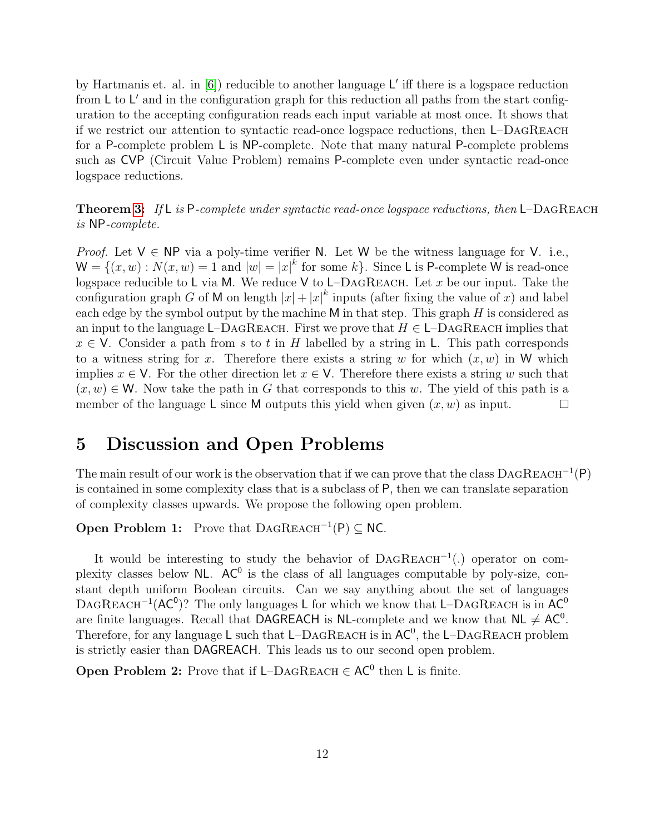by Hartmanis et. al. in  $[6]$ ) reducible to another language L' iff there is a logspace reduction from  $\mathsf{L}$  to  $\mathsf{L}'$  and in the configuration graph for this reduction all paths from the start configuration to the accepting configuration reads each input variable at most once. It shows that if we restrict our attention to syntactic read-once logspace reductions, then L–DagReach for a P-complete problem L is NP-complete. Note that many natural P-complete problems such as CVP (Circuit Value Problem) remains P-complete even under syntactic read-once logspace reductions.

**Theorem [3:](#page-3-2)** If L is P-complete under syntactic read-once logspace reductions, then L-DAGREACH is NP-complete.

*Proof.* Let  $V \in NP$  via a poly-time verifier N. Let W be the witness language for V. i.e.,  $\mathsf{W} = \{(x, w) : N(x, w) = 1 \text{ and } |w| = |x|^k \text{ for some } k\}.$  Since L is P-complete W is read-once logspace reducible to L via M. We reduce V to L–DAGREACH. Let x be our input. Take the configuration graph G of M on length  $|x| + |x|^k$  inputs (after fixing the value of x) and label each edge by the symbol output by the machine  $M$  in that step. This graph  $H$  is considered as an input to the language L–DAGREACH. First we prove that  $H \in L$ –DAGREACH implies that  $x \in V$ . Consider a path from s to t in H labelled by a string in L. This path corresponds to a witness string for x. Therefore there exists a string w for which  $(x, w)$  in W which implies  $x \in V$ . For the other direction let  $x \in V$ . Therefore there exists a string w such that  $(x, w) \in W$ . Now take the path in G that corresponds to this w. The yield of this path is a member of the language L since M outputs this yield when given  $(x, w)$  as input. member of the language L since M outputs this yield when given  $(x, w)$  as input.

### 5 Discussion and Open Problems

The main result of our work is the observation that if we can prove that the class  $DAGREACH^{-1}(P)$ is contained in some complexity class that is a subclass of P, then we can translate separation of complexity classes upwards. We propose the following open problem.

**Open Problem 1:** Prove that  $\text{DAGREACH}^{-1}(P) \subseteq NC$ .

It would be interesting to study the behavior of  $DAGREACH^{-1}(.)$  operator on complexity classes below  $NL$ . AC<sup>0</sup> is the class of all languages computable by poly-size, constant depth uniform Boolean circuits. Can we say anything about the set of languages DAGREACH<sup>-1</sup>( $AC^0$ )? The only languages L for which we know that L–DAGREACH is in  $AC^0$ are finite languages. Recall that DAGREACH is NL-complete and we know that  $NL \ne AC^0$ . Therefore, for any language  $\mathsf L$  such that  $\mathsf L-\mathsf D\mathrm A\mathrm G\mathrm R\mathrm E\mathrm A\mathrm C\mathrm H$  is in  $\mathsf{AC}^0$ , the  $\mathsf L-\mathsf D\mathrm A\mathrm G\mathrm R\mathrm E\mathrm A\mathrm C\mathrm H$  problem is strictly easier than DAGREACH. This leads us to our second open problem.

**Open Problem 2:** Prove that if  $L$ –DAGREACH  $\in AC^0$  then L is finite.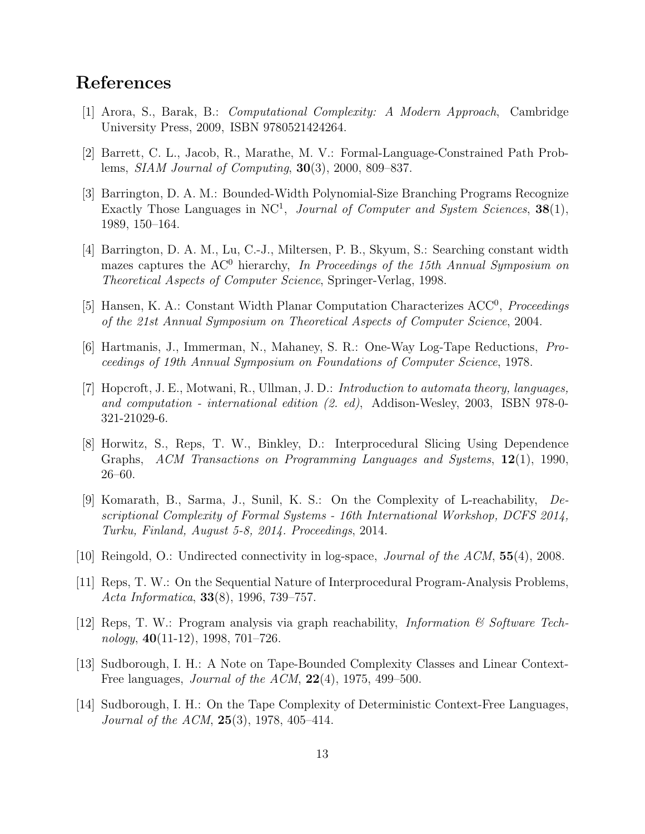## References

- <span id="page-12-9"></span>[1] Arora, S., Barak, B.: Computational Complexity: A Modern Approach, Cambridge University Press, 2009, ISBN 9780521424264.
- <span id="page-12-8"></span>[2] Barrett, C. L., Jacob, R., Marathe, M. V.: Formal-Language-Constrained Path Problems, SIAM Journal of Computing, 30(3), 2000, 809–837.
- <span id="page-12-2"></span>[3] Barrington, D. A. M.: Bounded-Width Polynomial-Size Branching Programs Recognize Exactly Those Languages in NC<sup>1</sup>, Journal of Computer and System Sciences,  $38(1)$ , 1989, 150–164.
- <span id="page-12-4"></span>[4] Barrington, D. A. M., Lu, C.-J., Miltersen, P. B., Skyum, S.: Searching constant width mazes captures the  $AC^0$  hierarchy, In Proceedings of the 15th Annual Symposium on Theoretical Aspects of Computer Science, Springer-Verlag, 1998.
- <span id="page-12-3"></span>[5] Hansen, K. A.: Constant Width Planar Computation Characterizes ACC<sup>0</sup>, Proceedings of the 21st Annual Symposium on Theoretical Aspects of Computer Science, 2004.
- <span id="page-12-13"></span>[6] Hartmanis, J., Immerman, N., Mahaney, S. R.: One-Way Log-Tape Reductions, Proceedings of 19th Annual Symposium on Foundations of Computer Science, 1978.
- <span id="page-12-10"></span>[7] Hopcroft, J. E., Motwani, R., Ullman, J. D.: Introduction to automata theory, languages, and computation - international edition (2. ed), Addison-Wesley, 2003, ISBN 978-0- 321-21029-6.
- <span id="page-12-7"></span>[8] Horwitz, S., Reps, T. W., Binkley, D.: Interprocedural Slicing Using Dependence Graphs, ACM Transactions on Programming Languages and Systems,  $12(1)$ , 1990, 26–60.
- <span id="page-12-0"></span>[9] Komarath, B., Sarma, J., Sunil, K. S.: On the Complexity of L-reachability, Descriptional Complexity of Formal Systems - 16th International Workshop, DCFS 2014, Turku, Finland, August 5-8, 2014. Proceedings, 2014.
- <span id="page-12-1"></span>[10] Reingold, O.: Undirected connectivity in log-space, *Journal of the ACM*, **55**(4), 2008.
- <span id="page-12-5"></span>[11] Reps, T. W.: On the Sequential Nature of Interprocedural Program-Analysis Problems, Acta Informatica, 33(8), 1996, 739–757.
- <span id="page-12-6"></span>[12] Reps, T. W.: Program analysis via graph reachability, *Information & Software Tech*nology,  $40(11-12)$ , 1998, 701–726.
- <span id="page-12-12"></span>[13] Sudborough, I. H.: A Note on Tape-Bounded Complexity Classes and Linear Context-Free languages, *Journal of the ACM*,  $22(4)$ , 1975, 499–500.
- <span id="page-12-11"></span>[14] Sudborough, I. H.: On the Tape Complexity of Deterministic Context-Free Languages, Journal of the ACM,  $25(3)$ , 1978, 405-414.